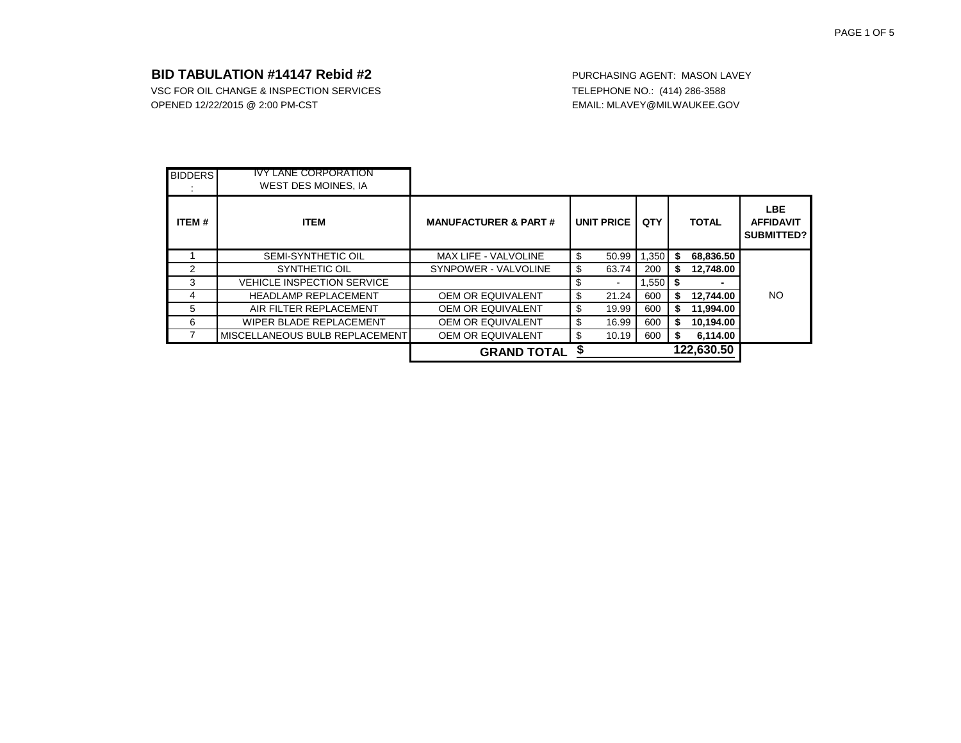|                |                                                           | <b>GRAND TOTAL</b>              |                      |       |    | 122,630.50   |                                              |
|----------------|-----------------------------------------------------------|---------------------------------|----------------------|-------|----|--------------|----------------------------------------------|
|                | MISCELLANEOUS BULB REPLACEMENT                            | <b>OEM OR EQUIVALENT</b>        | \$<br>10.19          | 600   | S  | 6,114.00     |                                              |
| 6              | WIPER BLADE REPLACEMENT                                   | <b>OEM OR EQUIVALENT</b>        | \$<br>16.99          | 600   | S. | 10,194.00    |                                              |
| 5              | AIR FILTER REPLACEMENT                                    | <b>OEM OR EQUIVALENT</b>        | \$<br>19.99          | 600   | S  | 11,994.00    |                                              |
| 4              | <b>HEADLAMP REPLACEMENT</b>                               | <b>OEM OR EQUIVALENT</b>        | \$<br>21.24          | 600   | S. | 12,744.00    | <b>NO</b>                                    |
| 3              | <b>VEHICLE INSPECTION SERVICE</b>                         |                                 | \$<br>$\blacksquare$ | 1,550 | \$ | -            |                                              |
| 2              | SYNTHETIC OIL                                             | SYNPOWER - VALVOLINE            | \$<br>63.74          | 200   | \$ | 12,748.00    |                                              |
|                | SEMI-SYNTHETIC OIL                                        | <b>MAX LIFE - VALVOLINE</b>     | \$<br>50.99          | 1,350 | \$ | 68,836.50    |                                              |
| ITEM#          | <b>ITEM</b>                                               | <b>MANUFACTURER &amp; PART#</b> | <b>UNIT PRICE</b>    | QTY   |    | <b>TOTAL</b> | <b>LBE</b><br><b>AFFIDAVIT</b><br>SUBMITTED? |
| <b>BIDDERS</b> | <b>IVY LANE CORPORATION</b><br><b>WEST DES MOINES, IA</b> |                                 |                      |       |    |              |                                              |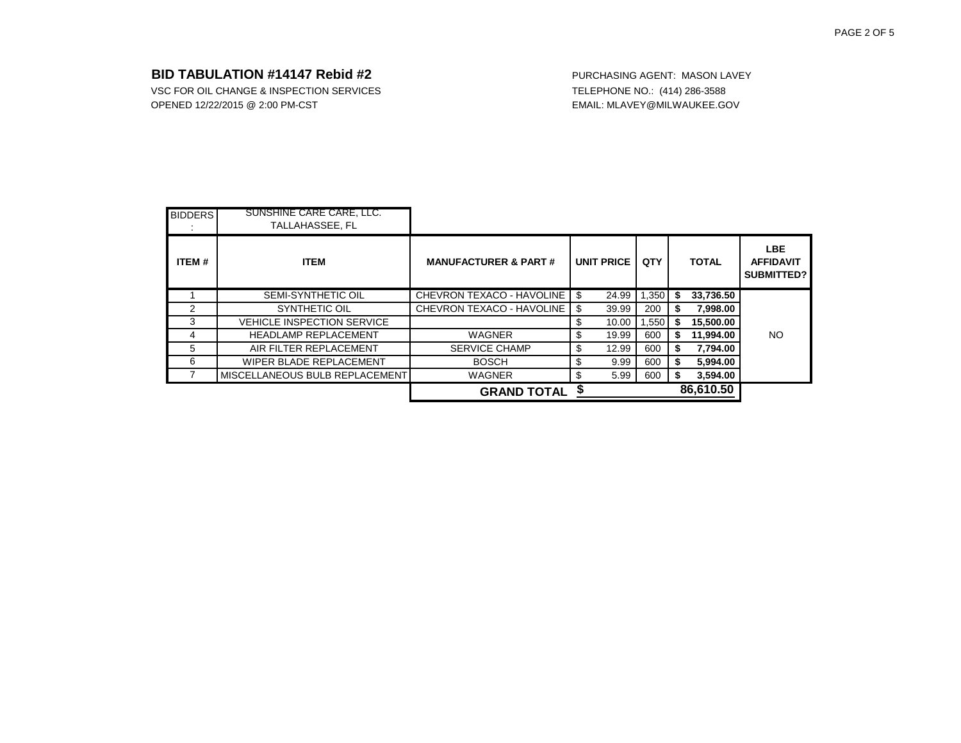| <b>BIDDERS</b> | SUNSHINE CARE CARE, LLC.<br>TALLAHASSEE, FL |                                  |    |                   |       |    |              |                                              |
|----------------|---------------------------------------------|----------------------------------|----|-------------------|-------|----|--------------|----------------------------------------------|
| ITEM#          | <b>ITEM</b>                                 | <b>MANUFACTURER &amp; PART#</b>  |    | <b>UNIT PRICE</b> | QTY   |    | <b>TOTAL</b> | <b>LBE</b><br><b>AFFIDAVIT</b><br>SUBMITTED? |
|                | <b>SEMI-SYNTHETIC OIL</b>                   | <b>CHEVRON TEXACO - HAVOLINE</b> | \$ | 24.99             | 1,350 | \$ | 33,736.50    |                                              |
| 2              | SYNTHETIC OIL                               | <b>CHEVRON TEXACO - HAVOLINE</b> | \$ | 39.99             | 200   | S  | 7,998.00     |                                              |
| 3              | <b>VEHICLE INSPECTION SERVICE</b>           |                                  | S  | 10.00             | .550  | \$ | 15,500.00    |                                              |
| 4              | <b>HEADLAMP REPLACEMENT</b>                 | <b>WAGNER</b>                    | \$ | 19.99             | 600   | \$ | 11,994.00    | NO                                           |
| 5              | AIR FILTER REPLACEMENT                      | <b>SERVICE CHAMP</b>             | \$ | 12.99             | 600   | S  | 7,794.00     |                                              |
| 6              | WIPER BLADE REPLACEMENT                     | <b>BOSCH</b>                     | \$ | 9.99              | 600   | S  | 5,994.00     |                                              |
|                | MISCELLANEOUS BULB REPLACEMENT              | <b>WAGNER</b>                    | \$ | 5.99              | 600   | S  | 3,594.00     |                                              |
|                |                                             | <b>GRAND TOTAL</b>               |    | 86,610.50         |       |    |              |                                              |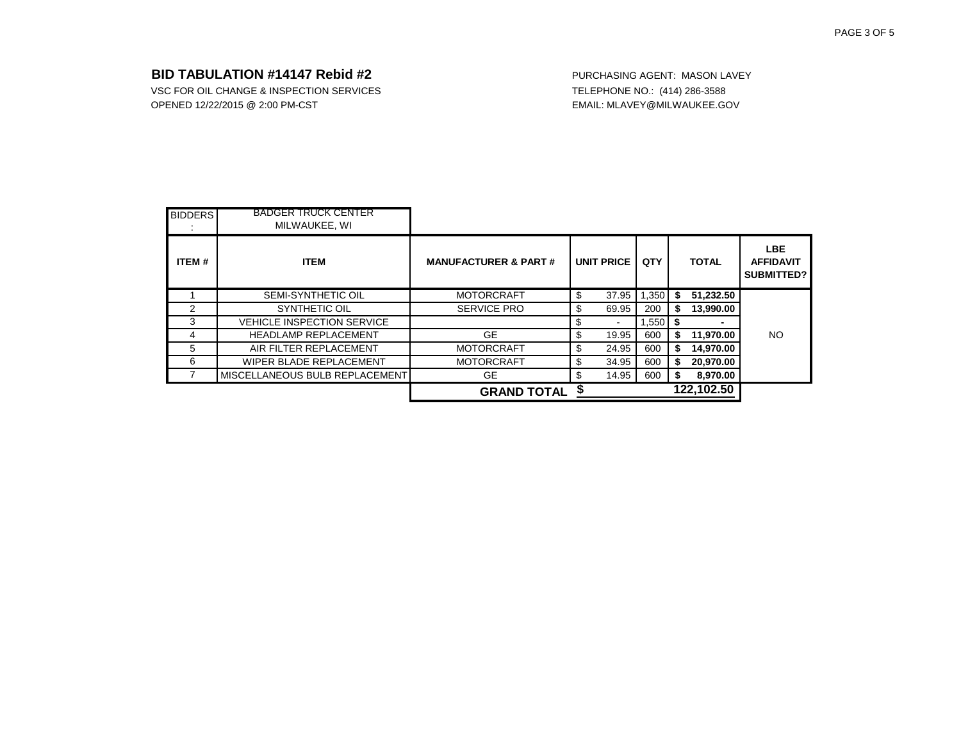| <b>BIDDERS</b> | <b>BADGER TRUCK CENTER</b><br>MILWAUKEE, WI |                                 |                                |       |    |                          |                                              |
|----------------|---------------------------------------------|---------------------------------|--------------------------------|-------|----|--------------------------|----------------------------------------------|
| ITEM#          | <b>ITEM</b>                                 | <b>MANUFACTURER &amp; PART#</b> | <b>UNIT PRICE</b>              | QTY   |    | <b>TOTAL</b>             | <b>LBE</b><br><b>AFFIDAVIT</b><br>SUBMITTED? |
|                | <b>SEMI-SYNTHETIC OIL</b>                   | <b>MOTORCRAFT</b>               | \$<br>37.95                    | 1,350 | S  | 51,232.50                |                                              |
| 2              | SYNTHETIC OIL                               | <b>SERVICE PRO</b>              | \$<br>69.95                    | 200   | \$ | 13,990.00                |                                              |
| 3              | <b>VEHICLE INSPECTION SERVICE</b>           |                                 | \$<br>$\overline{\phantom{a}}$ | 1,550 | S  | $\overline{\phantom{0}}$ |                                              |
| 4              | <b>HEADLAMP REPLACEMENT</b>                 | GE.                             | \$<br>19.95                    | 600   | \$ | 11,970.00                | <b>NO</b>                                    |
| 5              | AIR FILTER REPLACEMENT                      | <b>MOTORCRAFT</b>               | \$<br>24.95                    | 600   | \$ | 14,970.00                |                                              |
| 6              | WIPER BLADE REPLACEMENT                     | <b>MOTORCRAFT</b>               | \$<br>34.95                    | 600   | \$ | 20,970.00                |                                              |
|                | MISCELLANEOUS BULB REPLACEMENT              | <b>GE</b>                       | \$<br>14.95                    | 600   |    | 8,970.00                 |                                              |
|                |                                             | <b>GRAND TOTAL</b>              |                                |       |    | 122,102.50               |                                              |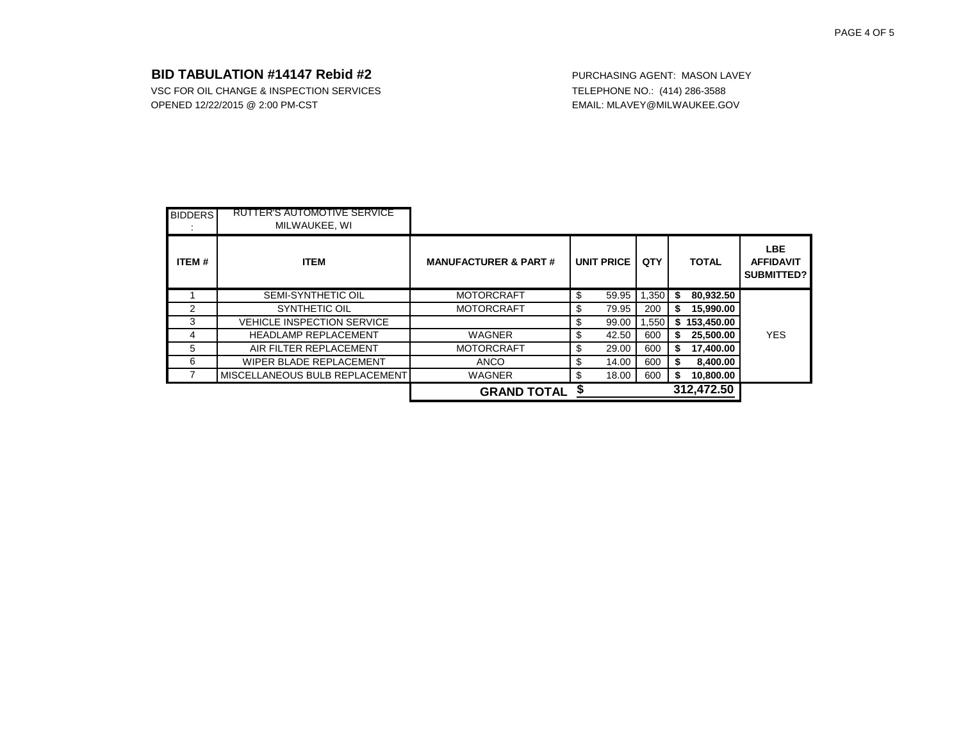|                |                                                     | <b>GRAND TOTAL</b>              |                   |       |    | 312,472.50   |                                              |
|----------------|-----------------------------------------------------|---------------------------------|-------------------|-------|----|--------------|----------------------------------------------|
|                | MISCELLANEOUS BULB REPLACEMENT                      | <b>WAGNER</b>                   | \$<br>18.00       | 600   | S  | 10,800.00    |                                              |
| 6              | WIPER BLADE REPLACEMENT                             | <b>ANCO</b>                     | \$<br>14.00       | 600   | S  | 8,400.00     |                                              |
| 5              | AIR FILTER REPLACEMENT                              | <b>MOTORCRAFT</b>               | \$<br>29.00       | 600   | \$ | 17,400.00    |                                              |
| 4              | <b>HEADLAMP REPLACEMENT</b>                         | <b>WAGNER</b>                   | \$<br>42.50       | 600   | S  | 25,500.00    | <b>YES</b>                                   |
| 3              | <b>VEHICLE INSPECTION SERVICE</b>                   |                                 | \$<br>99.00       | 1,550 | \$ | 153,450.00   |                                              |
| 2              | SYNTHETIC OIL                                       | <b>MOTORCRAFT</b>               | \$<br>79.95       | 200   | S  | 15,990.00    |                                              |
|                | SEMI-SYNTHETIC OIL                                  | <b>MOTORCRAFT</b>               | \$<br>59.95       | 1,350 | \$ | 80,932.50    |                                              |
| ITEM#          | <b>ITEM</b>                                         | <b>MANUFACTURER &amp; PART#</b> | <b>UNIT PRICE</b> | QTY   |    | <b>TOTAL</b> | <b>LBE</b><br><b>AFFIDAVIT</b><br>SUBMITTED? |
| <b>BIDDERS</b> | <b>RUTTER'S AUTOMOTIVE SERVICE</b><br>MILWAUKEE, WI |                                 |                   |       |    |              |                                              |